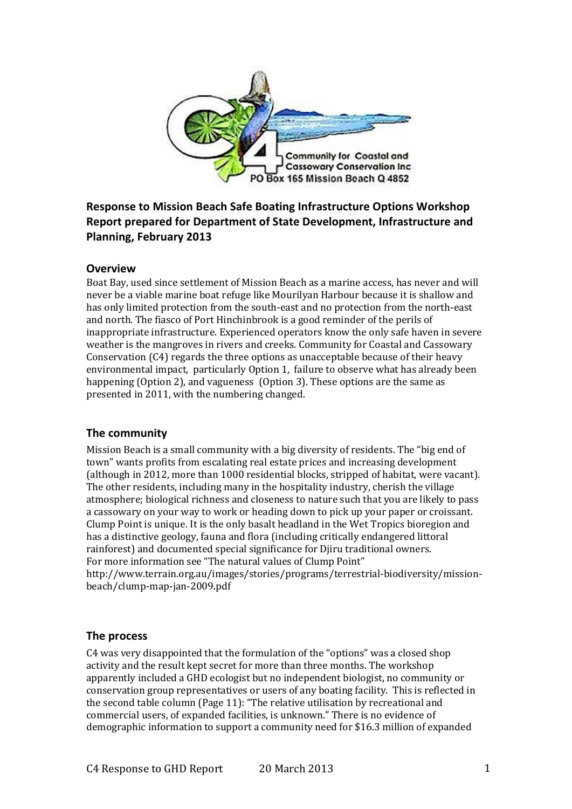

# **Response to Mission Beach Safe Boating Infrastructure Options Workshop Report prepared for Department of State Development, Infrastructure and Planning, February 2013**

#### **Overview**

Boat Bay, used since settlement of Mission Beach as a marine access, has never and will never be a viable marine boat refuge like Mourilyan Harbour because it is shallow and has only limited protection from the south-east and no protection from the north-east and north. The fiasco of Port Hinchinbrook is a good reminder of the perils of inappropriate infrastructure. Experienced operators know the only safe haven in severe weather is the mangroves in rivers and creeks. Community for Coastal and Cassowary Conservation (C4) regards the three options as unacceptable because of their heavy environmental impact, particularly Option 1, failure to observe what has already been happening (Option 2), and vagueness (Option 3). These options are the same as presented in 2011, with the numbering changed.

#### **The community**

Mission Beach is a small community with a big diversity of residents. The "big end of town" wants profits from escalating real estate prices and increasing development (although in 2012, more than 1000 residential blocks, stripped of habitat, were vacant). The other residents, including many in the hospitality industry, cherish the village atmosphere; biological richness and closeness to nature such that you are likely to pass a cassowary on your way to work or heading down to pick up your paper or croissant. Clump Point is unique. It is the only basalt headland in the Wet Tropics bioregion and has a distinctive geology, fauna and flora (including critically endangered littoral rainforest) and documented special significance for Djiru traditional owners. For more information see "The natural values of Clump Point" http://www.terrain.org.au/images/stories/programs/terrestrial-biodiversity/missionbeach/clump-map-jan-2009.pdf

### **The process**

C4 was very disappointed that the formulation of the "options" was a closed shop activity and the result kept secret for more than three months. The workshop apparently included a GHD ecologist but no independent biologist, no community or conservation group representatives or users of any boating facility. This is reflected in the second table column (Page 11): "The relative utilisation by recreational and commercial users, of expanded facilities, is unknown." There is no evidence of demographic information to support a community need for \$16.3 million of expanded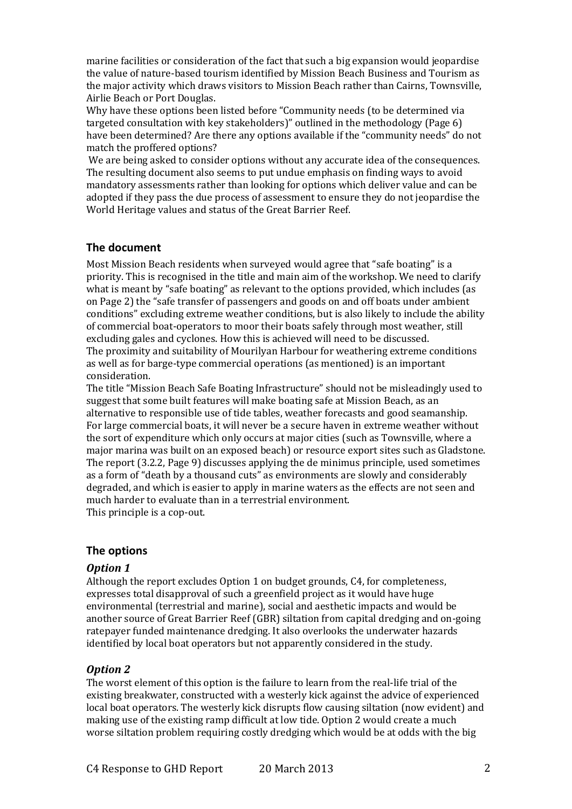marine facilities or consideration of the fact that such a big expansion would jeopardise the value of nature-based tourism identified by Mission Beach Business and Tourism as the major activity which draws visitors to Mission Beach rather than Cairns, Townsville, Airlie Beach or Port Douglas.

Why have these options been listed before "Community needs (to be determined via targeted consultation with key stakeholders)" outlined in the methodology (Page 6) have been determined? Are there any options available if the "community needs" do not match the proffered options?

We are being asked to consider options without any accurate idea of the consequences. The resulting document also seems to put undue emphasis on finding ways to avoid mandatory assessments rather than looking for options which deliver value and can be adopted if they pass the due process of assessment to ensure they do not jeopardise the World Heritage values and status of the Great Barrier Reef.

### **The document**

Most Mission Beach residents when surveyed would agree that "safe boating" is a priority. This is recognised in the title and main aim of the workshop. We need to clarify what is meant by "safe boating" as relevant to the options provided, which includes (as on Page 2) the "safe transfer of passengers and goods on and off boats under ambient conditions" excluding extreme weather conditions, but is also likely to include the ability of commercial boat-operators to moor their boats safely through most weather, still excluding gales and cyclones. How this is achieved will need to be discussed. The proximity and suitability of Mourilyan Harbour for weathering extreme conditions as well as for barge-type commercial operations (as mentioned) is an important consideration.

The title "Mission Beach Safe Boating Infrastructure" should not be misleadingly used to suggest that some built features will make boating safe at Mission Beach, as an alternative to responsible use of tide tables, weather forecasts and good seamanship. For large commercial boats, it will never be a secure haven in extreme weather without the sort of expenditure which only occurs at major cities (such as Townsville, where a major marina was built on an exposed beach) or resource export sites such as Gladstone. The report (3.2.2, Page 9) discusses applying the de minimus principle, used sometimes as a form of "death by a thousand cuts" as environments are slowly and considerably degraded, and which is easier to apply in marine waters as the effects are not seen and much harder to evaluate than in a terrestrial environment. This principle is a cop-out.

### **The options**

### *Option 1*

Although the report excludes Option 1 on budget grounds, C4, for completeness, expresses total disapproval of such a greenfield project as it would have huge environmental (terrestrial and marine), social and aesthetic impacts and would be another source of Great Barrier Reef (GBR) siltation from capital dredging and on-going ratepayer funded maintenance dredging. It also overlooks the underwater hazards identified by local boat operators but not apparently considered in the study.

### *Option 2*

The worst element of this option is the failure to learn from the real-life trial of the existing breakwater, constructed with a westerly kick against the advice of experienced local boat operators. The westerly kick disrupts flow causing siltation (now evident) and making use of the existing ramp difficult at low tide. Option 2 would create a much worse siltation problem requiring costly dredging which would be at odds with the big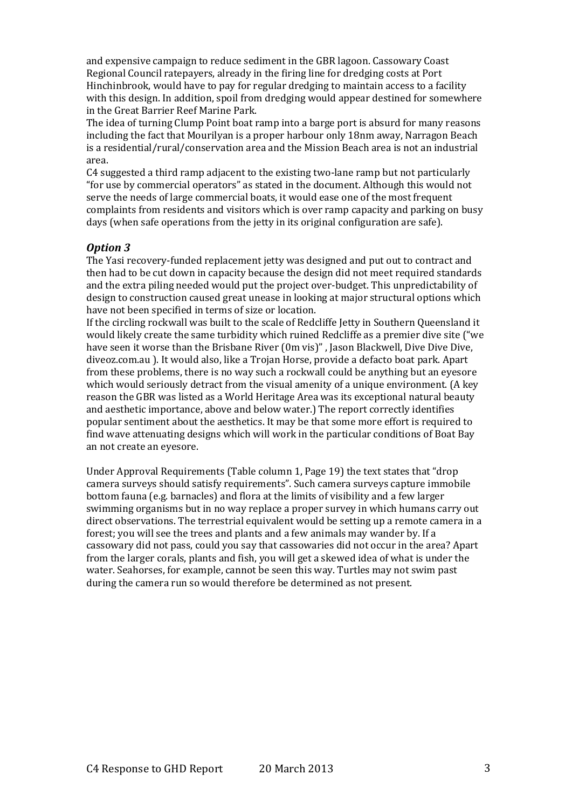and expensive campaign to reduce sediment in the GBR lagoon. Cassowary Coast Regional Council ratepayers, already in the firing line for dredging costs at Port Hinchinbrook, would have to pay for regular dredging to maintain access to a facility with this design. In addition, spoil from dredging would appear destined for somewhere in the Great Barrier Reef Marine Park.

The idea of turning Clump Point boat ramp into a barge port is absurd for many reasons including the fact that Mourilyan is a proper harbour only 18nm away, Narragon Beach is a residential/rural/conservation area and the Mission Beach area is not an industrial area.

C4 suggested a third ramp adjacent to the existing two-lane ramp but not particularly "for use by commercial operators" as stated in the document. Although this would not serve the needs of large commercial boats, it would ease one of the most frequent complaints from residents and visitors which is over ramp capacity and parking on busy days (when safe operations from the jetty in its original configuration are safe).

### *Option 3*

The Yasi recovery-funded replacement jetty was designed and put out to contract and then had to be cut down in capacity because the design did not meet required standards and the extra piling needed would put the project over-budget. This unpredictability of design to construction caused great unease in looking at major structural options which have not been specified in terms of size or location.

If the circling rockwall was built to the scale of Redcliffe Jetty in Southern Queensland it would likely create the same turbidity which ruined Redcliffe as a premier dive site ("we have seen it worse than the Brisbane River (0m vis)", Jason Blackwell, Dive Dive Dive, diveoz.com.au ). It would also, like a Trojan Horse, provide a defacto boat park. Apart from these problems, there is no way such a rockwall could be anything but an eyesore which would seriously detract from the visual amenity of a unique environment. (A key reason the GBR was listed as a World Heritage Area was its exceptional natural beauty and aesthetic importance, above and below water.) The report correctly identifies popular sentiment about the aesthetics. It may be that some more effort is required to find wave attenuating designs which will work in the particular conditions of Boat Bay an not create an eyesore.

Under Approval Requirements (Table column 1, Page 19) the text states that "drop camera surveys should satisfy requirements". Such camera surveys capture immobile bottom fauna (e.g. barnacles) and flora at the limits of visibility and a few larger swimming organisms but in no way replace a proper survey in which humans carry out direct observations. The terrestrial equivalent would be setting up a remote camera in a forest; you will see the trees and plants and a few animals may wander by. If a cassowary did not pass, could you say that cassowaries did not occur in the area? Apart from the larger corals, plants and fish, you will get a skewed idea of what is under the water. Seahorses, for example, cannot be seen this way. Turtles may not swim past during the camera run so would therefore be determined as not present.